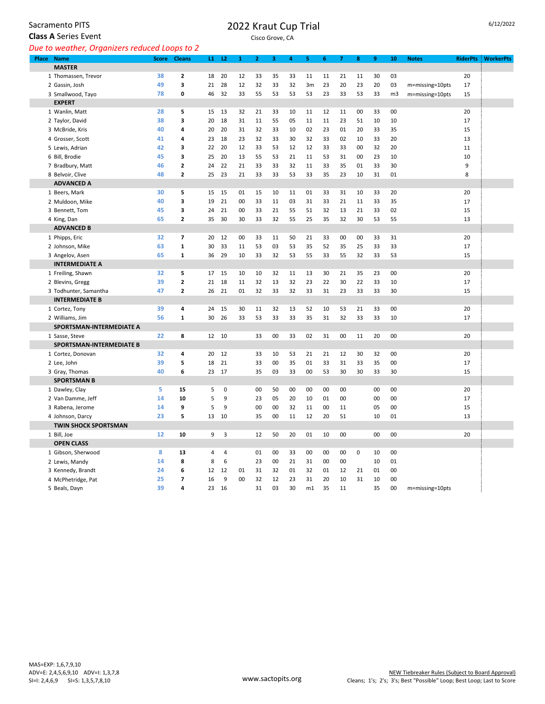Sacramento PITS

## **Class A** Series Event

## 2022 Kraut Cup Trial

Cisco Grove, CA

*Due to weather, Organizers reduced Loops to 2*

| Place Name                           | <b>Score</b> | <b>Cleans</b>  | $\mathbf{11}$ | L2             | $\mathbf{1}$ | $\overline{2}$ | 3        | 4        | 5        | 6        | 7        | 8           | 9        | 10             | <b>Notes</b>    | <b>RiderPts</b> | <b>WorkerPts</b> |
|--------------------------------------|--------------|----------------|---------------|----------------|--------------|----------------|----------|----------|----------|----------|----------|-------------|----------|----------------|-----------------|-----------------|------------------|
| <b>MASTER</b>                        |              |                |               |                |              |                |          |          |          |          |          |             |          |                |                 |                 |                  |
| 1 Thomassen, Trevor                  | 38           | 2              | 18            | 20             | 12           | 33             | 35       | 33       | 11       | 11       | 21       | 11          | 30       | 03             |                 | 20              |                  |
| 2 Gassin, Josh                       | 49           | 3              | 21            | 28             | 12           | 32             | 33       | 32       | 3m       | 23       | 20       | 23          | 20       | 03             | m=missing=10pts | 17              |                  |
| 3 Smallwood, Tayo                    | 78           | 0              | 46            | 32             | 33           | 55             | 53       | 53       | 53       | 23       | 33       | 53          | 33       | m <sub>3</sub> | m=missing=10pts | 15              |                  |
| <b>EXPERT</b>                        |              |                |               |                |              |                |          |          |          |          |          |             |          |                |                 |                 |                  |
| 1 Wanlin, Matt                       | 28           | 5              | 15            | 13             | 32           | 21             | 33       | 10       | 11       | 12       | 11       | 00          | 33       | 00             |                 | 20              |                  |
| 2 Taylor, David                      | 38           | 3              | 20            | 18             | 31           | 11             | 55       | 05       | 11       | 11       | 23       | 51          | 10       | 10             |                 | 17              |                  |
| 3 McBride, Kris                      | 40           | 4              | 20            | 20             | 31           | 32             | 33       | 10       | 02       | 23       | 01       | 20          | 33       | 35             |                 | 15              |                  |
| 4 Grosser, Scott                     | 41           | 4              | 23            | 18             | 23           | 32             | 33       | 30       | 32       | 33       | 02       | 10          | 33       | 20             |                 | 13              |                  |
| 5 Lewis, Adrian                      | 42           | 3              | 22            | 20             | 12           | 33             | 53       | 12       | 12       | 33       | 33       | 00          | 32       | 20             |                 | 11              |                  |
| 6 Bill, Brodie                       | 45           | 3              | 25            | 20             | 13           | 55             | 53       | 21       | 11       | 53       | 31       | 00          | 23       | 10             |                 | 10              |                  |
| 7 Bradbury, Matt                     | 46           | $\mathbf{2}$   | 24            | 22             | 21           | 33             | 33       | 32       | 11       | 33       | 35       | 01          | 33       | 30             |                 | 9               |                  |
| 8 Belvoir, Clive                     | 48           | 2              | 25            | 23             | 21           | 33             | 33       | 53       | 33       | 35       | 23       | 10          | 31       | 01             |                 | 8               |                  |
| <b>ADVANCED A</b>                    |              |                |               |                |              |                |          |          |          |          |          |             |          |                |                 |                 |                  |
| 1 Beers, Mark                        | 30           | 5              | 15            | 15             | 01           | 15             | 10       | 11       | 01       | 33       | 31       | 10          | 33       | 20             |                 | 20              |                  |
| 2 Muldoon, Mike                      | 40           | 3              | 19            | 21             | 00           | 33             | 11       | 03       | 31       | 33       | 21       | 11          | 33       | 35             |                 | 17              |                  |
| 3 Bennett, Tom                       | 45           | 3              | 24            | 21             | $00\,$       | 33             | 21       | 55       | 51       | 32       | 13       | 21          | 33       | 02             |                 | 15              |                  |
| 4 King, Dan                          | 65           | $\overline{2}$ | 35            | 30             | 30           | 33             | 32       | 55       | 25       | 35       | 32       | 30          | 53       | 55             |                 | 13              |                  |
| <b>ADVANCED B</b>                    |              |                |               |                |              |                |          |          |          |          |          |             |          |                |                 |                 |                  |
| 1 Phipps, Eric                       | 32           | $\overline{ }$ | 20            | 12             | 00           | 33             | 11       | 50       | 21       | 33       | 00       | 00          | 33       | 31             |                 | 20              |                  |
| 2 Johnson, Mike                      | 63           | $\mathbf 1$    | 30            | 33             | 11           | 53             | 03       | 53       | 35       | 52       | 35       | 25          | 33       | 33             |                 | 17              |                  |
| 3 Angelov, Asen                      | 65           | 1              | 36            | 29             | 10           | 33             | 32       | 53       | 55       | 33       | 55       | 32          | 33       | 53             |                 | 15              |                  |
| <b>INTERMEDIATE A</b>                |              |                |               |                |              |                |          |          |          |          |          |             |          |                |                 |                 |                  |
| 1 Freiling, Shawn                    | 32           | 5              | 17            | 15             | 10           | 10             | 32       | 11       | 13       | 30       | 21       | 35          | 23       | 00             |                 | 20              |                  |
| 2 Blevins, Gregg                     | 39           | $\mathbf{2}$   | 21            | 18             | 11           | 32             | 13       | 32       | 23       | 22       | 30       | 22          | 33       | 10             |                 | 17              |                  |
| 3 Todhunter, Samantha                | 47           | 2              | 26            | 21             | 01           | 32             | 33       | 32       | 33       | 31       | 23       | 33          | 33       | 30             |                 | 15              |                  |
| <b>INTERMEDIATE B</b>                |              |                |               |                |              |                |          |          |          |          |          |             |          |                |                 |                 |                  |
| 1 Cortez, Tony                       | 39           | 4              | 24            | 15             | 30           | 11             | 32       | 13       | 52       | 10       | 53       | 21          | 33       | 00             |                 | 20              |                  |
| 2 Williams, Jim                      | 56           | $\mathbf{1}$   | 30            | 26             | 33           | 53             | 33       | 33       | 35       | 31       | 32       | 33          | 33       | 10             |                 | 17              |                  |
| SPORTSMAN-INTERMEDIATE A             |              |                |               |                |              |                |          |          |          |          |          |             |          |                |                 |                 |                  |
| 1 Sasse, Steve                       | 22           | 8              | 12            | 10             |              | 33             | 00       | 33       | 02       | 31       | 00       | 11          | 20       | 00             |                 | 20              |                  |
| SPORTSMAN-INTERMEDIATE B             |              |                |               |                |              |                |          |          |          |          |          |             |          |                |                 |                 |                  |
| 1 Cortez, Donovan                    | 32           | 4              | 20            | 12             |              | 33             | 10       | 53       | 21       | 21       | 12       | 30          | 32       | 00             |                 | 20              |                  |
| 2 Lee, John                          | 39<br>40     | 5<br>6         | 18<br>23      | 21<br>17       |              | 33<br>35       | 00<br>03 | 35<br>33 | 01<br>00 | 33<br>53 | 31<br>30 | 33<br>30    | 35<br>33 | 00<br>30       |                 | 17<br>15        |                  |
| 3 Gray, Thomas<br><b>SPORTSMAN B</b> |              |                |               |                |              |                |          |          |          |          |          |             |          |                |                 |                 |                  |
| 1 Dawley, Clay                       | 5            | 15             | 5             | 0              |              | 00             | 50       | 00       | 00       | 00       | 00       |             | 00       | 00             |                 | 20              |                  |
| 2 Van Damme, Jeff                    | 14           | 10             | 5             | 9              |              | 23             | 05       | 20       | 10       | 01       | 00       |             | 00       | 00             |                 | 17              |                  |
| 3 Rabena, Jerome                     | 14           | 9              | 5             | 9              |              | 00             | 00       | 32       | 11       | 00       | 11       |             | 05       | 00             |                 | 15              |                  |
| 4 Johnson, Darcy                     | 23           | 5              | 13            | 10             |              | 35             | 00       | 11       | 12       | 20       | 51       |             | 10       | 01             |                 | 13              |                  |
| <b>TWIN SHOCK SPORTSMAN</b>          |              |                |               |                |              |                |          |          |          |          |          |             |          |                |                 |                 |                  |
| 1 Bill, Joe                          | 12           | 10             | 9             | 3              |              | 12             | 50       | 20       | 01       | 10       | 00       |             | 00       | 00             |                 | 20              |                  |
| <b>OPEN CLASS</b>                    |              |                |               |                |              |                |          |          |          |          |          |             |          |                |                 |                 |                  |
| 1 Gibson, Sherwood                   | 8            | 13             | 4             | $\overline{4}$ |              | 01             | 00       | 33       | 00       | 00       | 00       | $\mathbf 0$ | 10       | 00             |                 |                 |                  |
| 2 Lewis, Mandy                       | 14           | 8              | 8             | 6              |              | 23             | 00       | 21       | 31       | 00       | 00       |             | 10       | 01             |                 |                 |                  |
| 3 Kennedy, Brandt                    | 24           | 6              | 12            | 12             | 01           | 31             | 32       | 01       | 32       | 01       | 12       | 21          | 01       | 00             |                 |                 |                  |
| 4 McPhetridge, Pat                   | 25           | 7              | 16            | 9              | 00           | 32             | 12       | 23       | 31       | 20       | 10       | 31          | 10       | 00             |                 |                 |                  |
| 5 Beals, Dayn                        | 39           | 4              | 23            | 16             |              | 31             | 03       | 30       | m1       | 35       | 11       |             | 35       | 00             | m=missing=10pts |                 |                  |
|                                      |              |                |               |                |              |                |          |          |          |          |          |             |          |                |                 |                 |                  |